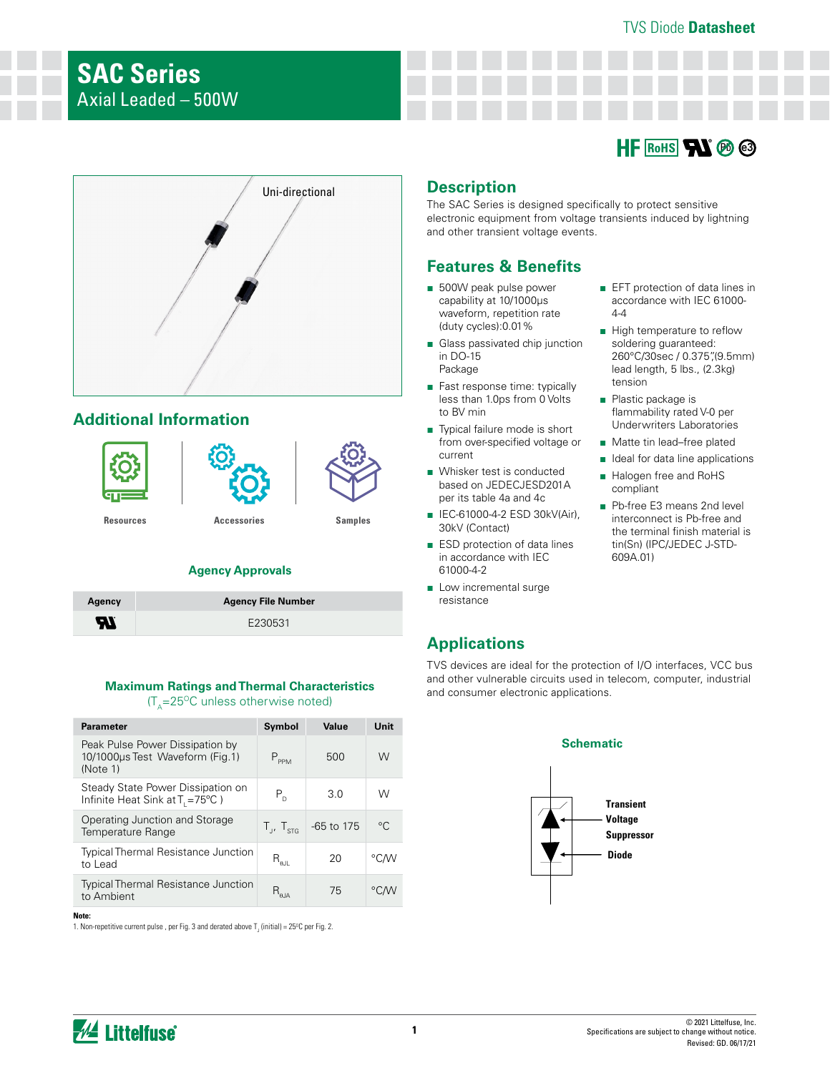

■ EFT protection of data lines in accordance with IEC 61000-

■ High temperature to reflow soldering guaranteed: 260°C/30sec / 0.375",(9.5mm) lead length, 5 lbs., (2.3kg)

flammability rated V-0 per Underwriters Laboratories ■ Matte tin lead–free plated ■ Ideal for data line applications ■ Halogen free and RoHS

■ Pb-free E3 means 2nd level interconnect is Pb-free and the terminal finish material is tin(Sn) (IPC/JEDEC J-STD-



# **Additional Information**



## **Agency Approvals**

| Agency | <b>Agency File Number</b> |
|--------|---------------------------|
| Æ      | E230531                   |

#### **Maximum Ratings and Thermal Characteristics**   $(T<sub>A</sub>=25<sup>o</sup>C$  unless otherwise noted)

| <b>Parameter</b>                                                                   | Symbol                       | Value      | Unit         |
|------------------------------------------------------------------------------------|------------------------------|------------|--------------|
| Peak Pulse Power Dissipation by<br>10/1000us Test Waveform (Fig. 1)<br>(Note 1)    | $P_{PPM}$                    | 500        | W            |
| Steady State Power Dissipation on<br>Infinite Heat Sink at $T_{1} = 75^{\circ}C$ ) | $P_{n}$                      | 3.0        | W            |
| Operating Junction and Storage<br>Temperature Range                                | $T_{\mu}$ , $T_{\text{STG}}$ | -65 to 175 | $^{\circ}$ C |
| <b>Typical Thermal Resistance Junction</b><br>to Lead                              | $R_{\rm all}$                | 20         | °C∕W         |
| <b>Typical Thermal Resistance Junction</b><br>to Ambient                           | $R_{\theta$ JA               | 75         | °C/W         |

#### **Note:**

1. Non-repetitive current pulse , per Fig. 3 and derated above T $_{\textrm{\tiny{J}}}$  (initial) = 25°C per Fig. 2.

# **Description**

The SAC Series is designed specifically to protect sensitive electronic equipment from voltage transients induced by lightning and other transient voltage events.

 $4-4$ 

tension ■ Plastic package is

compliant

609A.01)

## **Features & Benefits**

- 500W peak pulse power capability at 10/1000μs waveform, repetition rate (duty cycles):0.01%
- Glass passivated chip junction in DO-15 Package
- Fast response time: typically less than 1.0ps from 0 Volts to BV min
- Typical failure mode is short from over-specified voltage or current
- Whisker test is conducted based on JEDECJESD201A per its table 4a and 4c
- IEC-61000-4-2 ESD 30kV(Air), 30kV (Contact)
- ESD protection of data lines in accordance with IEC 61000-4-2
- Low incremental surge resistance

# **Applications**

TVS devices are ideal for the protection of I/O interfaces, VCC bus and other vulnerable circuits used in telecom, computer, industrial and consumer electronic applications.

#### **Schematic**



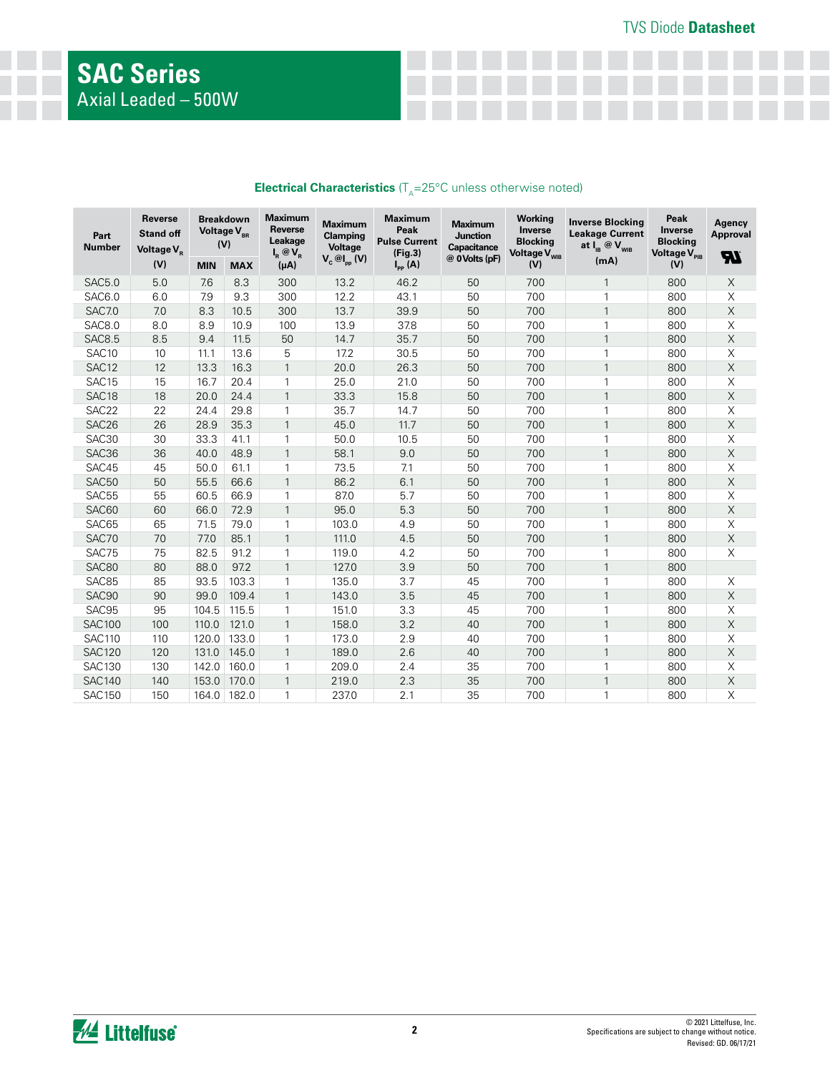| Part<br><b>Number</b> | Reverse<br><b>Stand off</b><br>Voltage V <sub>p</sub> | <b>Breakdown</b><br>Voltage V <sub>BR</sub><br>(V) |            | Maximum<br><b>Reverse</b><br>Leakage<br>$I_R @V_R$ | <b>Maximum</b><br>Clamping<br>Voltage | Maximum<br>Peak<br><b>Pulse Current</b><br>(Fig.3) | Maximum<br><b>Junction</b><br>Capacitance<br>@ 0 Volts (pF) | Working<br>Inverse<br><b>Blocking</b><br>Voltage V <sub>WIB</sub> | <b>Inverse Blocking</b><br><b>Leakage Current</b><br>at $I_{IB}$ @ $V_{WIB}$ | Peak<br>Inverse<br><b>Blocking</b><br>Voltage V <sub>PIB</sub> | Agency<br><b>Approval</b><br>77. |
|-----------------------|-------------------------------------------------------|----------------------------------------------------|------------|----------------------------------------------------|---------------------------------------|----------------------------------------------------|-------------------------------------------------------------|-------------------------------------------------------------------|------------------------------------------------------------------------------|----------------------------------------------------------------|----------------------------------|
|                       | (V)                                                   | <b>MIN</b>                                         | <b>MAX</b> | $(\mu A)$                                          | $V_c \otimes I_{pp} (V)$              | $I_{\text{PP}}(A)$                                 |                                                             | (V)                                                               | (mA)                                                                         | (V)                                                            |                                  |
| <b>SAC5.0</b>         | 5.0                                                   | 7.6                                                | 8.3        | 300                                                | 13.2                                  | 46.2                                               | 50                                                          | 700                                                               | 1                                                                            | 800                                                            | $\mathsf X$                      |
| SAC6.0                | 6.0                                                   | 7.9                                                | 9.3        | 300                                                | 12.2                                  | 43.1                                               | 50                                                          | 700                                                               | 1                                                                            | 800                                                            | X                                |
| <b>SAC7.0</b>         | 7.0                                                   | 8.3                                                | 10.5       | 300                                                | 13.7                                  | 39.9                                               | 50                                                          | 700                                                               | $\mathbf{1}$                                                                 | 800                                                            | $\mathsf X$                      |
| <b>SAC8.0</b>         | 8.0                                                   | 8.9                                                | 10.9       | 100                                                | 13.9                                  | 37.8                                               | 50                                                          | 700                                                               | 1                                                                            | 800                                                            | $\mathsf X$                      |
| SAC8.5                | 8.5                                                   | 9.4                                                | 11.5       | 50                                                 | 14.7                                  | 35.7                                               | 50                                                          | 700                                                               | $\mathbf{1}$                                                                 | 800                                                            | $\mathsf X$                      |
| SAC10                 | 10                                                    | 11.1                                               | 13.6       | 5                                                  | 17.2                                  | 30.5                                               | 50                                                          | 700                                                               | 1                                                                            | 800                                                            | Χ                                |
| SAC <sub>12</sub>     | 12                                                    | 13.3                                               | 16.3       | $\mathbf{1}$                                       | 20.0                                  | 26.3                                               | 50                                                          | 700                                                               | $\mathbf{1}$                                                                 | 800                                                            | $\mathsf X$                      |
| SAC <sub>15</sub>     | 15                                                    | 16.7                                               | 20.4       | 1                                                  | 25.0                                  | 21.0                                               | 50                                                          | 700                                                               | 1                                                                            | 800                                                            | Χ                                |
| SAC <sub>18</sub>     | 18                                                    | 20.0                                               | 24.4       | $\mathbf{1}$                                       | 33.3                                  | 15.8                                               | 50                                                          | 700                                                               | $\mathbf{1}$                                                                 | 800                                                            | $\mathsf X$                      |
| SAC22                 | 22                                                    | 24.4                                               | 29.8       | 1                                                  | 35.7                                  | 14.7                                               | 50                                                          | 700                                                               | 1                                                                            | 800                                                            | $\mathsf X$                      |
| SAC <sub>26</sub>     | 26                                                    | 28.9                                               | 35.3       | $\mathbf{1}$                                       | 45.0                                  | 11.7                                               | 50                                                          | 700                                                               | $\mathbf{1}$                                                                 | 800                                                            | $\mathsf X$                      |
| SAC30                 | 30                                                    | 33.3                                               | 41.1       | 1                                                  | 50.0                                  | 10.5                                               | 50                                                          | 700                                                               | 1                                                                            | 800                                                            | Χ                                |
| SAC36                 | 36                                                    | 40.0                                               | 48.9       | 1                                                  | 58.1                                  | 9.0                                                | 50                                                          | 700                                                               | $\mathbf{1}$                                                                 | 800                                                            | $\mathsf X$                      |
| SAC45                 | 45                                                    | 50.0                                               | 61.1       | 1                                                  | 73.5                                  | 7.1                                                | 50                                                          | 700                                                               | 1                                                                            | 800                                                            | $\mathsf X$                      |
| SAC50                 | 50                                                    | 55.5                                               | 66.6       | $\mathbf{1}$                                       | 86.2                                  | 6.1                                                | 50                                                          | 700                                                               | $\mathbf{1}$                                                                 | 800                                                            | $\mathsf X$                      |
| SAC55                 | 55                                                    | 60.5                                               | 66.9       | 1                                                  | 87.0                                  | 5.7                                                | 50                                                          | 700                                                               | 1                                                                            | 800                                                            | $\mathsf X$                      |
| SAC60                 | 60                                                    | 66.0                                               | 72.9       | $\mathbf{1}$                                       | 95.0                                  | 5.3                                                | 50                                                          | 700                                                               | $\mathbf{1}$                                                                 | 800                                                            | $\mathsf X$                      |
| SAC65                 | 65                                                    | 71.5                                               | 79.0       | 1                                                  | 103.0                                 | 4.9                                                | 50                                                          | 700                                                               | 1                                                                            | 800                                                            | Χ                                |
| SAC70                 | 70                                                    | 77.0                                               | 85.1       | $\mathbf{1}$                                       | 111.0                                 | 4.5                                                | 50                                                          | 700                                                               | $\mathbf{1}$                                                                 | 800                                                            | $\mathsf X$                      |
| SAC75                 | 75                                                    | 82.5                                               | 91.2       | 1                                                  | 119.0                                 | 4.2                                                | 50                                                          | 700                                                               | 1                                                                            | 800                                                            | $\mathsf X$                      |
| SAC80                 | 80                                                    | 88.0                                               | 97.2       | 1                                                  | 127.0                                 | 3.9                                                | 50                                                          | 700                                                               | $\mathbf{1}$                                                                 | 800                                                            |                                  |
| SAC85                 | 85                                                    | 93.5                                               | 103.3      | 1                                                  | 135.0                                 | 3.7                                                | 45                                                          | 700                                                               | 1                                                                            | 800                                                            | X                                |
| SAC90                 | 90                                                    | 99.0                                               | 109.4      | $\mathbf{1}$                                       | 143.0                                 | 3.5                                                | 45                                                          | 700                                                               | $\mathbf{1}$                                                                 | 800                                                            | $\mathsf X$                      |
| SAC95                 | 95                                                    | 104.5                                              | 115.5      | $\mathbf{1}$                                       | 151.0                                 | 3.3                                                | 45                                                          | 700                                                               | 1                                                                            | 800                                                            | Χ                                |
| <b>SAC100</b>         | 100                                                   | 110.0                                              | 121.0      | $\mathbf{1}$                                       | 158.0                                 | 3.2                                                | 40                                                          | 700                                                               | $\mathbf{1}$                                                                 | 800                                                            | $\mathsf X$                      |
| <b>SAC110</b>         | 110                                                   | 120.0                                              | 133.0      | $\mathbf{1}$                                       | 173.0                                 | 2.9                                                | 40                                                          | 700                                                               | 1                                                                            | 800                                                            | Χ                                |
| <b>SAC120</b>         | 120                                                   | 131.0                                              | 145.0      | 1                                                  | 189.0                                 | 2.6                                                | 40                                                          | 700                                                               | $\mathbf{1}$                                                                 | 800                                                            | $\mathsf X$                      |
| <b>SAC130</b>         | 130                                                   | 142.0                                              | 160.0      | 1                                                  | 209.0                                 | 2.4                                                | 35                                                          | 700                                                               | 1                                                                            | 800                                                            | Χ                                |
| <b>SAC140</b>         | 140                                                   | 153.0                                              | 170.0      | 1                                                  | 219.0                                 | 2.3                                                | 35                                                          | 700                                                               | $\mathbf{1}$                                                                 | 800                                                            | $\mathsf X$                      |
| <b>SAC150</b>         | 150                                                   | 164.0                                              | 182.0      | 1                                                  | 237.0                                 | 2.1                                                | 35                                                          | 700                                                               | 1                                                                            | 800                                                            | Χ                                |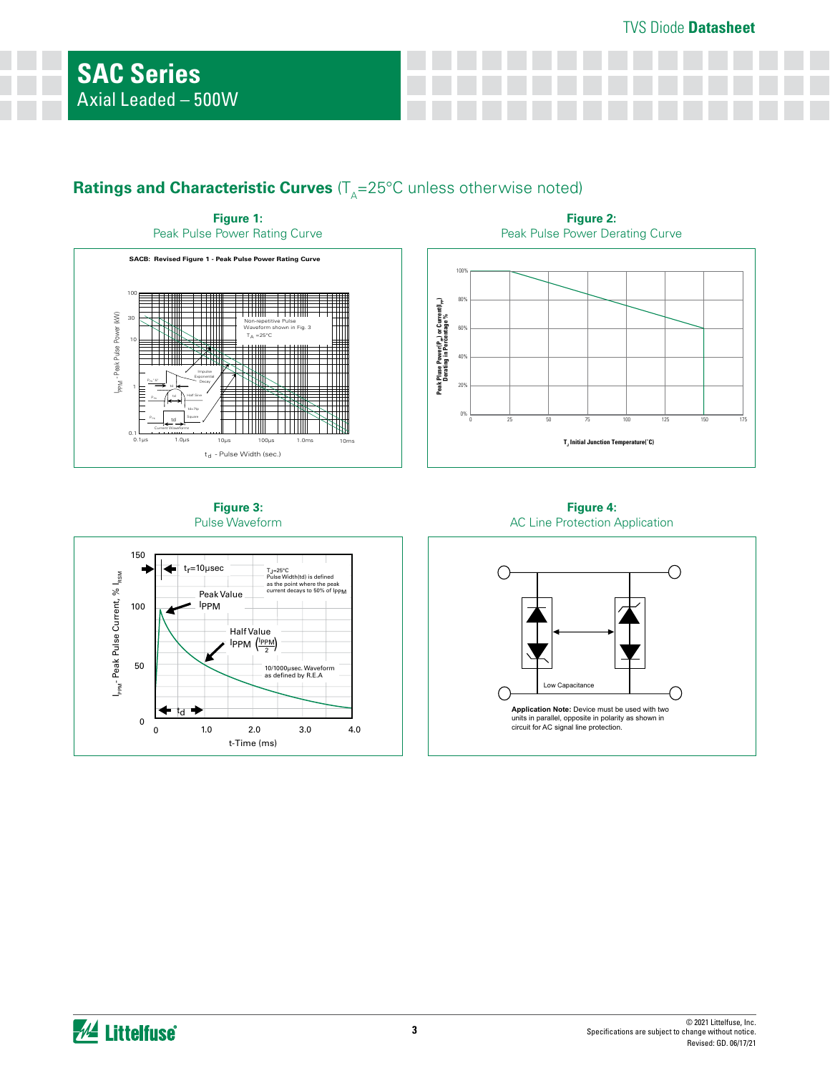# **Ratings and Characteristic Curves** ( $T_A=25^{\circ}$ C unless otherwise noted)



**Figure 2:**  Peak Pulse Power Derating Curve



**Figure 3:**  Pulse Waveform



**Figure 4:**  AC Line Protection Application

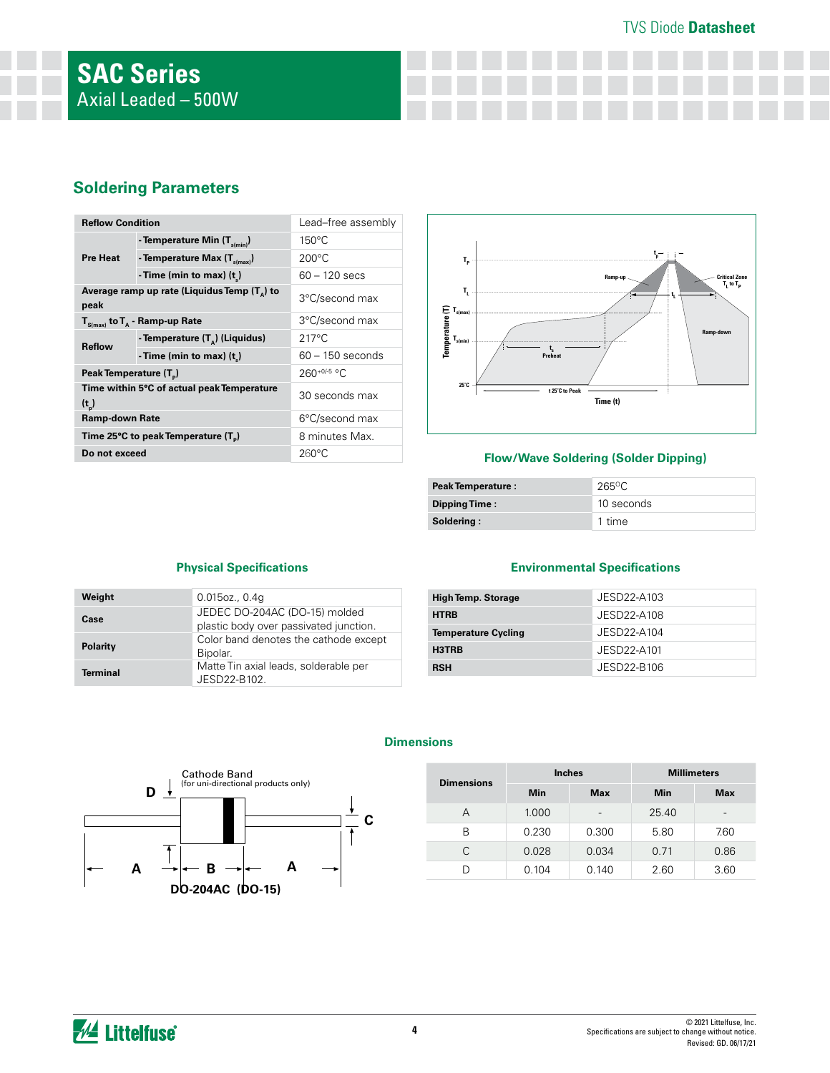## TVS Diode **Datasheet**

# **Soldering Parameters**

| <b>Reflow Condition</b>            |                                                       | Lead-free assembly |
|------------------------------------|-------------------------------------------------------|--------------------|
|                                    | - Temperature Min (T <sub>s(min)</sub> )              | $150^{\circ}$ C    |
| <b>Pre Heat</b>                    | - Temperature Max $(T_{\text{sum}})$                  | $200^{\circ}$ C    |
|                                    | - Time (min to max) $(t_*)$                           | 60 – 120 secs      |
| peak                               | Average ramp up rate (Liquidus Temp $(T_{\alpha})$ to | 3°C/second max     |
|                                    | $T_{\text{S(max)}}$ to $T_{\text{A}}$ - Ramp-up Rate  | 3°C/second max     |
| <b>Reflow</b>                      | - Temperature $(T_{\alpha})$ (Liquidus)               | $217^{\circ}$ C    |
|                                    | - Time (min to max) $(t_*)$                           | $60 - 150$ seconds |
| Peak Temperature (T <sub>n</sub> ) |                                                       | $260^{+0/5}$ °C    |
| $(t_n)$                            | Time within 5°C of actual peak Temperature            | 30 seconds max     |
| <b>Ramp-down Rate</b>              |                                                       | 6°C/second max     |
|                                    | Time 25°C to peak Temperature (T <sub>p</sub> )       | 8 minutes Max.     |
| Do not exceed                      |                                                       | $260^{\circ}$ C    |



#### **Flow/Wave Soldering (Solder Dipping)**

| <b>Peak Temperature:</b> | 265°C      |  |
|--------------------------|------------|--|
| Dipping Time:            | 10 seconds |  |
| Soldering:               | 1 time     |  |

## **Physical Specifications**

| Weight          | $0.015$ oz., $0.4q$                                                     |
|-----------------|-------------------------------------------------------------------------|
| Case            | JEDEC DO-204AC (DO-15) molded<br>plastic body over passivated junction. |
| Polarity        | Color band denotes the cathode except<br>Bipolar.                       |
| <b>Terminal</b> | Matte Tin axial leads, solderable per<br>JESD22-B102.                   |
|                 |                                                                         |

## **Environmental Specifications**

| <b>High Temp. Storage</b>  | JESD22-A103 |  |  |
|----------------------------|-------------|--|--|
| <b>HTRB</b>                | JESD22-A108 |  |  |
| <b>Temperature Cycling</b> | JESD22-A104 |  |  |
| H3TRB                      | JESD22-A101 |  |  |
| <b>RSH</b>                 | JESD22-B106 |  |  |

**C**  $\mathsf{A} \quad \rightarrow \mid \leftarrow \quad \mathsf{B} \quad \rightarrow \mid \leftarrow \quad \mathsf{A}$  $\mathsf{D}$ <sup>1</sup> Cathode Band (for uni-directional products only) **DO-204AC (DO-15)**

#### **Dimensions**

| <b>Dimensions</b> | <b>Inches</b> |            | <b>Millimeters</b> |      |  |
|-------------------|---------------|------------|--------------------|------|--|
|                   | Min           | <b>Max</b> | <b>Min</b>         | Max  |  |
| А                 | 1.000         |            | 25.40              | -    |  |
| B                 | 0.230         | 0.300      | 5.80               | 7.60 |  |
| C                 | 0.028         | 0.034      | 0.71               | 0.86 |  |
|                   | 0.104         | 0.140      | 2.60               | 3.60 |  |